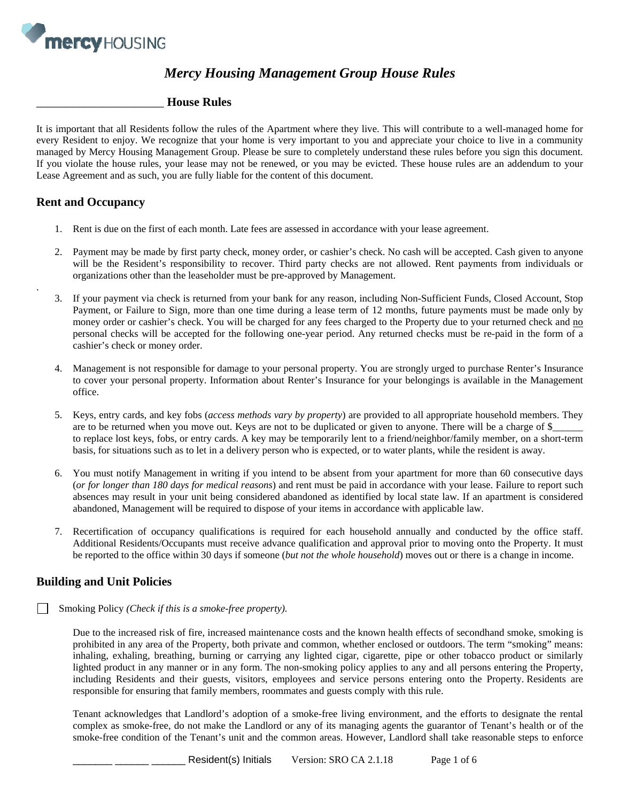

# *Mercy Housing Management Group House Rules*

#### \_\_\_\_\_\_\_\_\_\_\_\_\_\_\_\_\_\_\_\_\_ **House Rules**

It is important that all Residents follow the rules of the Apartment where they live. This will contribute to a well-managed home for every Resident to enjoy. We recognize that your home is very important to you and appreciate your choice to live in a community managed by Mercy Housing Management Group. Please be sure to completely understand these rules before you sign this document. If you violate the house rules, your lease may not be renewed, or you may be evicted. These house rules are an addendum to your Lease Agreement and as such, you are fully liable for the content of this document.

### **Rent and Occupancy**

.

- 1. Rent is due on the first of each month. Late fees are assessed in accordance with your lease agreement.
- 2. Payment may be made by first party check, money order, or cashier's check. No cash will be accepted. Cash given to anyone will be the Resident's responsibility to recover. Third party checks are not allowed. Rent payments from individuals or organizations other than the leaseholder must be pre-approved by Management.
- 3. If your payment via check is returned from your bank for any reason, including Non-Sufficient Funds, Closed Account, Stop Payment, or Failure to Sign, more than one time during a lease term of 12 months, future payments must be made only by money order or cashier's check. You will be charged for any fees charged to the Property due to your returned check and no personal checks will be accepted for the following one-year period. Any returned checks must be re-paid in the form of a cashier's check or money order.
- 4. Management is not responsible for damage to your personal property. You are strongly urged to purchase Renter's Insurance to cover your personal property. Information about Renter's Insurance for your belongings is available in the Management office.
- 5. Keys, entry cards, and key fobs (*access methods vary by property*) are provided to all appropriate household members. They are to be returned when you move out. Keys are not to be duplicated or given to anyone. There will be a charge of \$\_\_\_\_\_\_ to replace lost keys, fobs, or entry cards. A key may be temporarily lent to a friend/neighbor/family member, on a short-term basis, for situations such as to let in a delivery person who is expected, or to water plants, while the resident is away.
- 6. You must notify Management in writing if you intend to be absent from your apartment for more than 60 consecutive days (*or for longer than 180 days for medical reasons*) and rent must be paid in accordance with your lease. Failure to report such absences may result in your unit being considered abandoned as identified by local state law. If an apartment is considered abandoned, Management will be required to dispose of your items in accordance with applicable law.
- 7. Recertification of occupancy qualifications is required for each household annually and conducted by the office staff. Additional Residents/Occupants must receive advance qualification and approval prior to moving onto the Property. It must be reported to the office within 30 days if someone (*but not the whole household*) moves out or there is a change in income.

# **Building and Unit Policies**

Smoking Policy *(Check if this is a smoke-free property).* 

Due to the increased risk of fire, increased maintenance costs and the known health effects of secondhand smoke, smoking is prohibited in any area of the Property, both private and common, whether enclosed or outdoors. The term "smoking" means: inhaling, exhaling, breathing, burning or carrying any lighted cigar, cigarette, pipe or other tobacco product or similarly lighted product in any manner or in any form. The non-smoking policy applies to any and all persons entering the Property, including Residents and their guests, visitors, employees and service persons entering onto the Property. Residents are responsible for ensuring that family members, roommates and guests comply with this rule.

Tenant acknowledges that Landlord's adoption of a smoke-free living environment, and the efforts to designate the rental complex as smoke-free, do not make the Landlord or any of its managing agents the guarantor of Tenant's health or of the smoke-free condition of the Tenant's unit and the common areas. However, Landlord shall take reasonable steps to enforce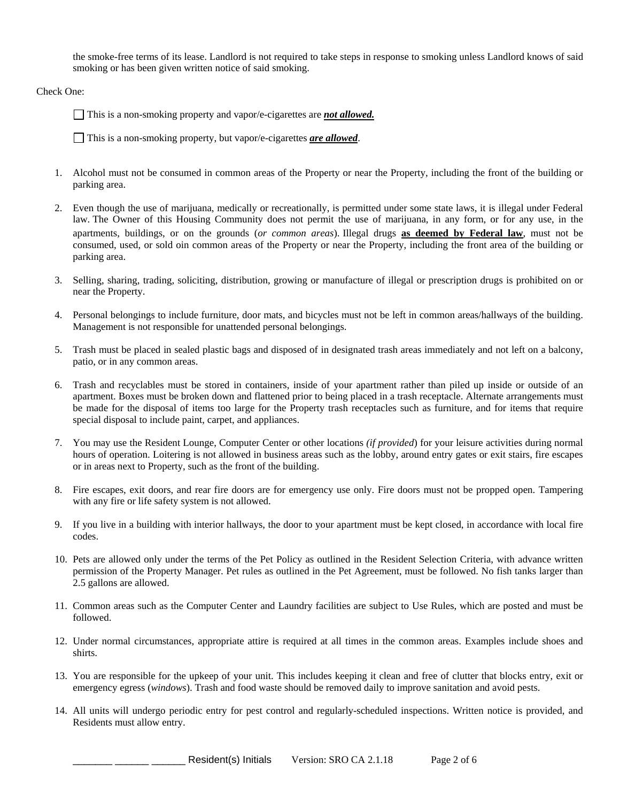the smoke-free terms of its lease. Landlord is not required to take steps in response to smoking unless Landlord knows of said smoking or has been given written notice of said smoking.

Check One:

This is a non-smoking property and vapor/e-cigarettes are *not allowed.*

This is a non-smoking property, but vapor/e-cigarettes *are allowed*.

- 1. Alcohol must not be consumed in common areas of the Property or near the Property, including the front of the building or parking area.
- 2. Even though the use of marijuana, medically or recreationally, is permitted under some state laws, it is illegal under Federal law. The Owner of this Housing Community does not permit the use of marijuana, in any form, or for any use, in the apartments, buildings, or on the grounds (*or common areas*). Illegal drugs **as deemed by Federal law**, must not be consumed, used, or sold oin common areas of the Property or near the Property, including the front area of the building or parking area.
- 3. Selling, sharing, trading, soliciting, distribution, growing or manufacture of illegal or prescription drugs is prohibited on or near the Property.
- 4. Personal belongings to include furniture, door mats, and bicycles must not be left in common areas/hallways of the building. Management is not responsible for unattended personal belongings.
- 5. Trash must be placed in sealed plastic bags and disposed of in designated trash areas immediately and not left on a balcony, patio, or in any common areas.
- 6. Trash and recyclables must be stored in containers, inside of your apartment rather than piled up inside or outside of an apartment. Boxes must be broken down and flattened prior to being placed in a trash receptacle. Alternate arrangements must be made for the disposal of items too large for the Property trash receptacles such as furniture, and for items that require special disposal to include paint, carpet, and appliances.
- 7. You may use the Resident Lounge, Computer Center or other locations *(if provided*) for your leisure activities during normal hours of operation. Loitering is not allowed in business areas such as the lobby, around entry gates or exit stairs, fire escapes or in areas next to Property, such as the front of the building.
- 8. Fire escapes, exit doors, and rear fire doors are for emergency use only. Fire doors must not be propped open. Tampering with any fire or life safety system is not allowed.
- 9. If you live in a building with interior hallways, the door to your apartment must be kept closed, in accordance with local fire codes.
- 10. Pets are allowed only under the terms of the Pet Policy as outlined in the Resident Selection Criteria, with advance written permission of the Property Manager. Pet rules as outlined in the Pet Agreement, must be followed. No fish tanks larger than 2.5 gallons are allowed.
- 11. Common areas such as the Computer Center and Laundry facilities are subject to Use Rules, which are posted and must be followed.
- 12. Under normal circumstances, appropriate attire is required at all times in the common areas. Examples include shoes and shirts.
- 13. You are responsible for the upkeep of your unit. This includes keeping it clean and free of clutter that blocks entry, exit or emergency egress (*windows*). Trash and food waste should be removed daily to improve sanitation and avoid pests.
- 14. All units will undergo periodic entry for pest control and regularly-scheduled inspections. Written notice is provided, and Residents must allow entry.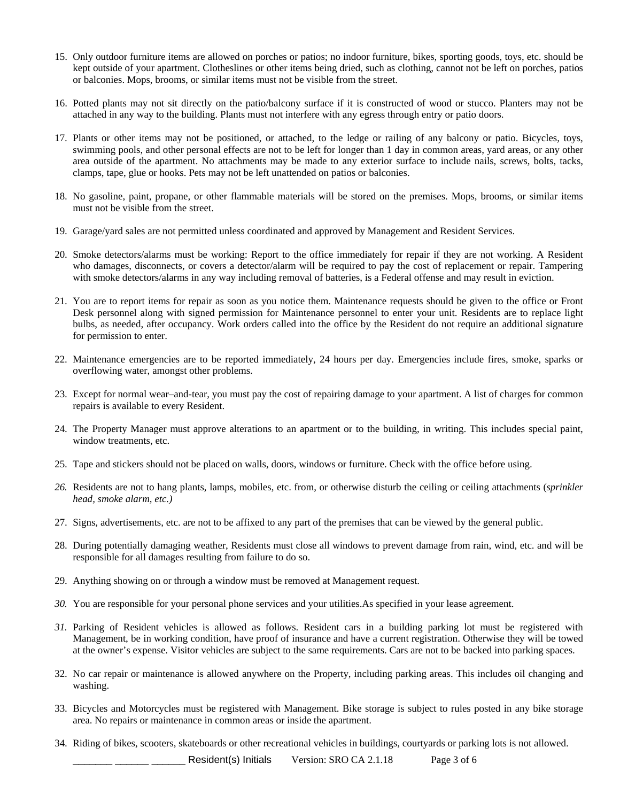- 15. Only outdoor furniture items are allowed on porches or patios; no indoor furniture, bikes, sporting goods, toys, etc. should be kept outside of your apartment. Clotheslines or other items being dried, such as clothing, cannot not be left on porches, patios or balconies. Mops, brooms, or similar items must not be visible from the street.
- 16. Potted plants may not sit directly on the patio/balcony surface if it is constructed of wood or stucco. Planters may not be attached in any way to the building. Plants must not interfere with any egress through entry or patio doors.
- 17. Plants or other items may not be positioned, or attached, to the ledge or railing of any balcony or patio. Bicycles, toys, swimming pools, and other personal effects are not to be left for longer than 1 day in common areas, yard areas, or any other area outside of the apartment. No attachments may be made to any exterior surface to include nails, screws, bolts, tacks, clamps, tape, glue or hooks. Pets may not be left unattended on patios or balconies.
- 18. No gasoline, paint, propane, or other flammable materials will be stored on the premises. Mops, brooms, or similar items must not be visible from the street.
- 19. Garage/yard sales are not permitted unless coordinated and approved by Management and Resident Services.
- 20. Smoke detectors/alarms must be working: Report to the office immediately for repair if they are not working. A Resident who damages, disconnects, or covers a detector/alarm will be required to pay the cost of replacement or repair. Tampering with smoke detectors/alarms in any way including removal of batteries, is a Federal offense and may result in eviction.
- 21. You are to report items for repair as soon as you notice them. Maintenance requests should be given to the office or Front Desk personnel along with signed permission for Maintenance personnel to enter your unit. Residents are to replace light bulbs, as needed, after occupancy. Work orders called into the office by the Resident do not require an additional signature for permission to enter.
- 22. Maintenance emergencies are to be reported immediately, 24 hours per day. Emergencies include fires, smoke, sparks or overflowing water, amongst other problems.
- 23. Except for normal wear–and-tear, you must pay the cost of repairing damage to your apartment. A list of charges for common repairs is available to every Resident.
- 24. The Property Manager must approve alterations to an apartment or to the building, in writing. This includes special paint, window treatments, etc.
- 25. Tape and stickers should not be placed on walls, doors, windows or furniture. Check with the office before using.
- *26.* Residents are not to hang plants, lamps, mobiles, etc. from, or otherwise disturb the ceiling or ceiling attachments (*sprinkler head, smoke alarm, etc.)*
- 27. Signs, advertisements, etc. are not to be affixed to any part of the premises that can be viewed by the general public.
- 28. During potentially damaging weather, Residents must close all windows to prevent damage from rain, wind, etc. and will be responsible for all damages resulting from failure to do so.
- 29. Anything showing on or through a window must be removed at Management request.
- *30.* You are responsible for your personal phone services and your utilities.As specified in your lease agreement.
- *31.* Parking of Resident vehicles is allowed as follows. Resident cars in a building parking lot must be registered with Management, be in working condition, have proof of insurance and have a current registration. Otherwise they will be towed at the owner's expense. Visitor vehicles are subject to the same requirements. Cars are not to be backed into parking spaces.
- 32. No car repair or maintenance is allowed anywhere on the Property, including parking areas. This includes oil changing and washing.
- 33. Bicycles and Motorcycles must be registered with Management. Bike storage is subject to rules posted in any bike storage area. No repairs or maintenance in common areas or inside the apartment.
- 34. Riding of bikes, scooters, skateboards or other recreational vehicles in buildings, courtyards or parking lots is not allowed.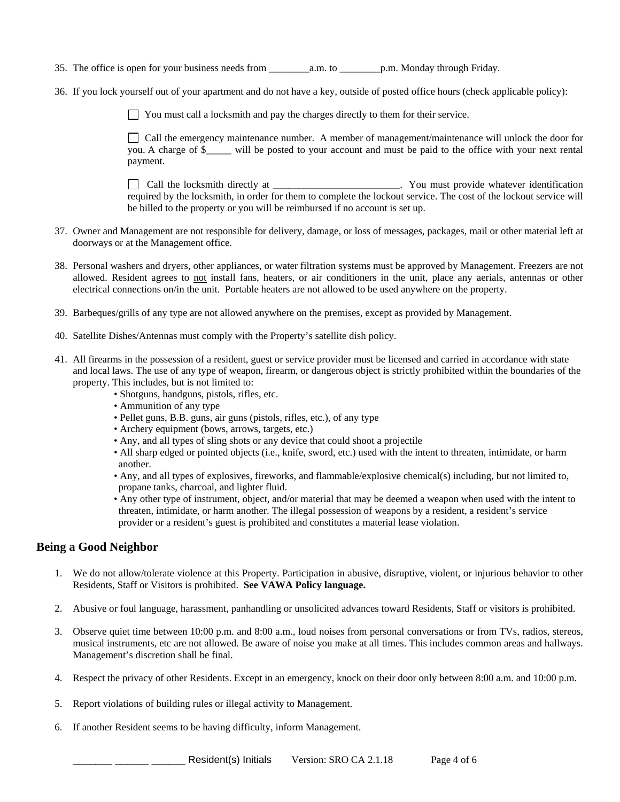35. The office is open for your business needs from  $a.m.$  to  $p.m.$  Monday through Friday.

36. If you lock yourself out of your apartment and do not have a key, outside of posted office hours (check applicable policy):

You must call a locksmith and pay the charges directly to them for their service.

 Call the emergency maintenance number. A member of management/maintenance will unlock the door for you. A charge of \$\_\_\_\_\_ will be posted to your account and must be paid to the office with your next rental payment.

 Call the locksmith directly at \_\_\_\_\_\_\_\_\_\_\_\_\_\_\_\_\_\_\_\_\_\_\_\_\_. You must provide whatever identification required by the locksmith, in order for them to complete the lockout service. The cost of the lockout service will be billed to the property or you will be reimbursed if no account is set up.

- 37. Owner and Management are not responsible for delivery, damage, or loss of messages, packages, mail or other material left at doorways or at the Management office.
- 38. Personal washers and dryers, other appliances, or water filtration systems must be approved by Management. Freezers are not allowed. Resident agrees to not install fans, heaters, or air conditioners in the unit, place any aerials, antennas or other electrical connections on/in the unit. Portable heaters are not allowed to be used anywhere on the property.
- 39. Barbeques/grills of any type are not allowed anywhere on the premises, except as provided by Management.
- 40. Satellite Dishes/Antennas must comply with the Property's satellite dish policy.
- 41. All firearms in the possession of a resident, guest or service provider must be licensed and carried in accordance with state and local laws. The use of any type of weapon, firearm, or dangerous object is strictly prohibited within the boundaries of the property. This includes, but is not limited to:
	- Shotguns, handguns, pistols, rifles, etc.
	- Ammunition of any type
	- Pellet guns, B.B. guns, air guns (pistols, rifles, etc.), of any type
	- Archery equipment (bows, arrows, targets, etc.)
	- Any, and all types of sling shots or any device that could shoot a projectile
	- All sharp edged or pointed objects (i.e., knife, sword, etc.) used with the intent to threaten, intimidate, or harm another.
	- Any, and all types of explosives, fireworks, and flammable/explosive chemical(s) including, but not limited to, propane tanks, charcoal, and lighter fluid.
	- Any other type of instrument, object, and/or material that may be deemed a weapon when used with the intent to threaten, intimidate, or harm another. The illegal possession of weapons by a resident, a resident's service provider or a resident's guest is prohibited and constitutes a material lease violation.

# **Being a Good Neighbor**

- 1. We do not allow/tolerate violence at this Property. Participation in abusive, disruptive, violent, or injurious behavior to other Residents, Staff or Visitors is prohibited. **See VAWA Policy language.**
- 2. Abusive or foul language, harassment, panhandling or unsolicited advances toward Residents, Staff or visitors is prohibited.
- 3. Observe quiet time between 10:00 p.m. and 8:00 a.m., loud noises from personal conversations or from TVs, radios, stereos, musical instruments, etc are not allowed. Be aware of noise you make at all times. This includes common areas and hallways. Management's discretion shall be final.
- 4. Respect the privacy of other Residents. Except in an emergency, knock on their door only between 8:00 a.m. and 10:00 p.m.
- 5. Report violations of building rules or illegal activity to Management.
- 6. If another Resident seems to be having difficulty, inform Management.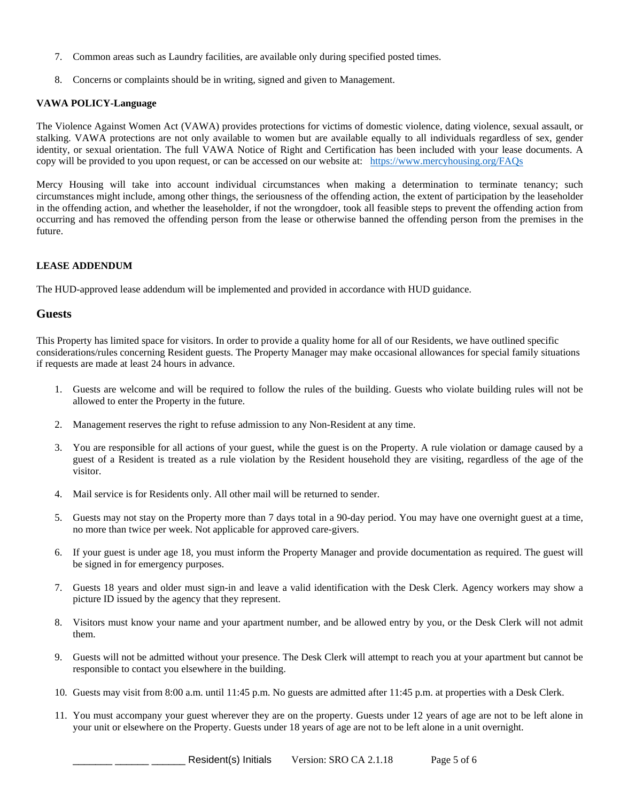- 7. Common areas such as Laundry facilities, are available only during specified posted times.
- 8. Concerns or complaints should be in writing, signed and given to Management.

#### **VAWA POLICY-Language**

The Violence Against Women Act (VAWA) provides protections for victims of domestic violence, dating violence, sexual assault, or stalking. VAWA protections are not only available to women but are available equally to all individuals regardless of sex, gender identity, or sexual orientation. The full VAWA Notice of Right and Certification has been included with your lease documents. A copy will be provided to you upon request, or can be accessed on our website at: https://www.mercyhousing.org/FAQs

Mercy Housing will take into account individual circumstances when making a determination to terminate tenancy; such circumstances might include, among other things, the seriousness of the offending action, the extent of participation by the leaseholder in the offending action, and whether the leaseholder, if not the wrongdoer, took all feasible steps to prevent the offending action from occurring and has removed the offending person from the lease or otherwise banned the offending person from the premises in the future.

#### **LEASE ADDENDUM**

The HUD-approved lease addendum will be implemented and provided in accordance with HUD guidance.

#### **Guests**

This Property has limited space for visitors. In order to provide a quality home for all of our Residents, we have outlined specific considerations/rules concerning Resident guests. The Property Manager may make occasional allowances for special family situations if requests are made at least 24 hours in advance.

- 1. Guests are welcome and will be required to follow the rules of the building. Guests who violate building rules will not be allowed to enter the Property in the future.
- 2. Management reserves the right to refuse admission to any Non-Resident at any time.
- 3. You are responsible for all actions of your guest, while the guest is on the Property. A rule violation or damage caused by a guest of a Resident is treated as a rule violation by the Resident household they are visiting, regardless of the age of the visitor.
- 4. Mail service is for Residents only. All other mail will be returned to sender.
- 5. Guests may not stay on the Property more than 7 days total in a 90-day period. You may have one overnight guest at a time, no more than twice per week. Not applicable for approved care-givers.
- 6. If your guest is under age 18, you must inform the Property Manager and provide documentation as required. The guest will be signed in for emergency purposes.
- 7. Guests 18 years and older must sign-in and leave a valid identification with the Desk Clerk. Agency workers may show a picture ID issued by the agency that they represent.
- 8. Visitors must know your name and your apartment number, and be allowed entry by you, or the Desk Clerk will not admit them.
- 9. Guests will not be admitted without your presence. The Desk Clerk will attempt to reach you at your apartment but cannot be responsible to contact you elsewhere in the building.
- 10. Guests may visit from 8:00 a.m. until 11:45 p.m. No guests are admitted after 11:45 p.m. at properties with a Desk Clerk.
- 11. You must accompany your guest wherever they are on the property. Guests under 12 years of age are not to be left alone in your unit or elsewhere on the Property. Guests under 18 years of age are not to be left alone in a unit overnight.